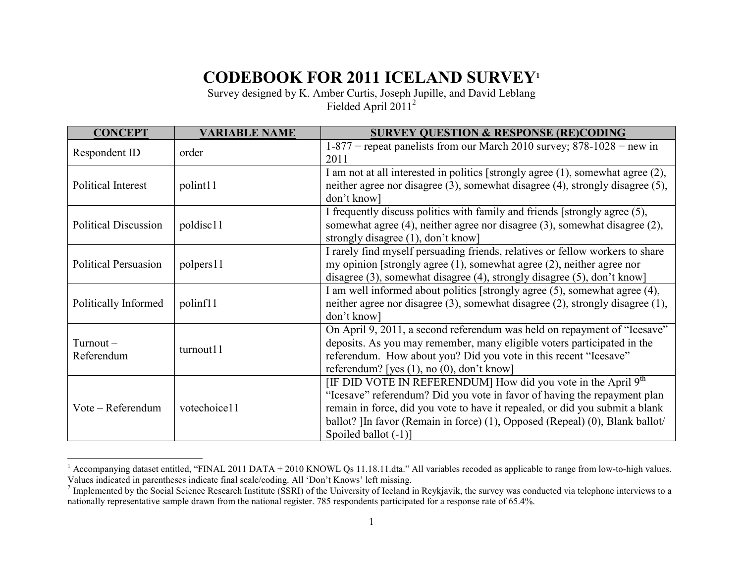## **CODEBOOK FOR 2011 ICELAND SURVEY<sup>1</sup>**

Survey designed by K. Amber Curtis, Joseph Jupille, and David Leblang Fielded April 2011<sup>2</sup>

| <b>CONCEPT</b>              | <b>VARIABLE NAME</b> | <b>SURVEY QUESTION &amp; RESPONSE (RE)CODING</b>                                |
|-----------------------------|----------------------|---------------------------------------------------------------------------------|
| Respondent ID               | order                | $1-877$ = repeat panelists from our March 2010 survey; 878-1028 = new in        |
|                             |                      | 2011                                                                            |
|                             |                      | I am not at all interested in politics [strongly agree (1), somewhat agree (2), |
| Political Interest          | polint11             | neither agree nor disagree (3), somewhat disagree (4), strongly disagree (5),   |
|                             |                      | don't know]                                                                     |
|                             |                      | I frequently discuss politics with family and friends [strongly agree (5),      |
| <b>Political Discussion</b> | poldisc11            | somewhat agree (4), neither agree nor disagree (3), somewhat disagree (2),      |
|                             |                      | strongly disagree (1), don't know]                                              |
|                             | polpers11            | I rarely find myself persuading friends, relatives or fellow workers to share   |
| <b>Political Persuasion</b> |                      | my opinion [strongly agree $(1)$ , somewhat agree $(2)$ , neither agree nor     |
|                             |                      | disagree (3), somewhat disagree (4), strongly disagree (5), don't know          |
|                             | polinf11             | I am well informed about politics [strongly agree (5), somewhat agree (4),      |
| Politically Informed        |                      | neither agree nor disagree (3), somewhat disagree (2), strongly disagree (1),   |
|                             |                      | don't know]                                                                     |
|                             | turnout11            | On April 9, 2011, a second referendum was held on repayment of "Icesave"        |
| Turnout-                    |                      | deposits. As you may remember, many eligible voters participated in the         |
| Referendum                  |                      | referendum. How about you? Did you vote in this recent "Icesave"                |
|                             |                      | referendum? [yes $(1)$ , no $(0)$ , don't know]                                 |
| Vote – Referendum           | votechoice11         | [IF DID VOTE IN REFERENDUM] How did you vote in the April $9th$                 |
|                             |                      | "Icesave" referendum? Did you vote in favor of having the repayment plan        |
|                             |                      | remain in force, did you vote to have it repealed, or did you submit a blank    |
|                             |                      | ballot? In favor (Remain in force) (1), Opposed (Repeal) (0), Blank ballot/     |
|                             |                      | Spoiled ballot $(-1)$ ]                                                         |

<sup>&</sup>lt;sup>1</sup> Accompanying dataset entitled, "FINAL 2011 DATA + 2010 KNOWL Qs 11.18.11.dta." All variables recoded as applicable to range from low-to-high values. Values indicated in parentheses indicate final scale/coding. All 'Don't Knows' left missing.

 $2^2$  Implemented by the Social Science Research Institute (SSRI) of the University of Iceland in Reykjavik, the survey was conducted via telephone interviews to a nationally representative sample drawn from the national register. 785 respondents participated for a response rate of 65.4%.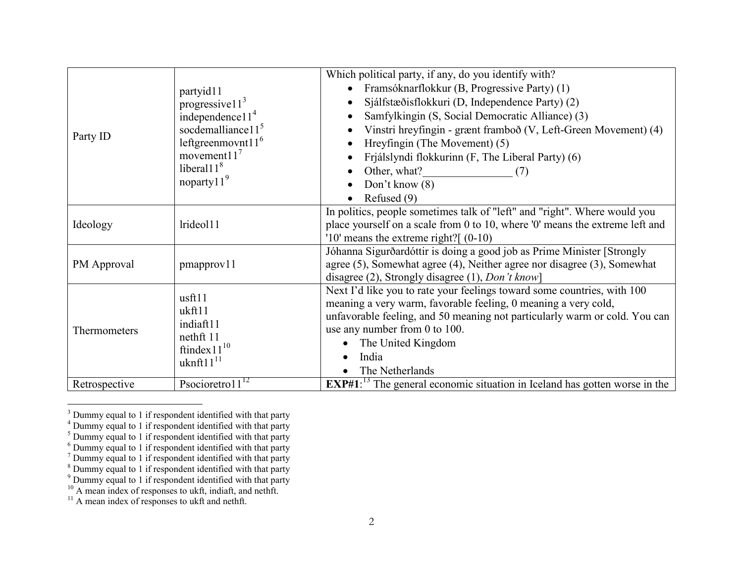|               |                                | Which political party, if any, do you identify with?                                      |
|---------------|--------------------------------|-------------------------------------------------------------------------------------------|
|               | partyid11                      | Framsóknarflokkur (B, Progressive Party) (1)                                              |
|               | progressive $113$              | Sjálfstæðisflokkuri (D, Independence Party) (2)                                           |
|               | independence $114$             | Samfylkingin (S, Social Democratic Alliance) (3)                                          |
|               | socdemalliance11 <sup>5</sup>  | Vinstri hreyfingin - grænt framboð (V, Left-Green Movement) (4)                           |
| Party ID      | leftgreenmovnt $116$           | Hreyfingin (The Movement) (5)                                                             |
|               | movement $117$                 | Frjálslyndi flokkurinn (F, The Liberal Party) (6)                                         |
|               | liberal $118$                  | Other, what?<br>(7)                                                                       |
|               | noparty $119$                  | Don't know $(8)$                                                                          |
|               |                                | Refused (9)                                                                               |
|               | lrideol11                      | In politics, people sometimes talk of "left" and "right". Where would you                 |
| Ideology      |                                | place yourself on a scale from 0 to 10, where '0' means the extreme left and              |
|               |                                | $'10'$ means the extreme right?[ $(0-10)$ ]                                               |
|               | pmapprov11                     | Jóhanna Sigurðardóttir is doing a good job as Prime Minister [Strongly                    |
| PM Approval   |                                | agree (5), Somewhat agree (4), Neither agree nor disagree (3), Somewhat                   |
|               |                                | disagree (2), Strongly disagree (1), Don't know                                           |
|               | usft11                         | Next I'd like you to rate your feelings toward some countries, with 100                   |
|               | ukft11                         | meaning a very warm, favorable feeling, 0 meaning a very cold,                            |
|               | indiaft11                      | unfavorable feeling, and 50 meaning not particularly warm or cold. You can                |
| Thermometers  |                                | use any number from 0 to 100.                                                             |
|               | nethft 11<br>ftindex $11^{10}$ | The United Kingdom                                                                        |
|               | $uknft11^{11}$                 | India                                                                                     |
|               |                                | The Netherlands                                                                           |
| Retrospective | Psocioretro $11^{12}$          | $EXP#1$ : <sup>13</sup> The general economic situation in Iceland has gotten worse in the |

<sup>&</sup>lt;sup>3</sup> Dummy equal to 1 if respondent identified with that party<br><sup>4</sup> Dummy equal to 1 if respondent identified with that party<br><sup>5</sup> Dummy equal to 1 if respondent identified with that party<br><sup>6</sup> Dummy equal to 1 if respondent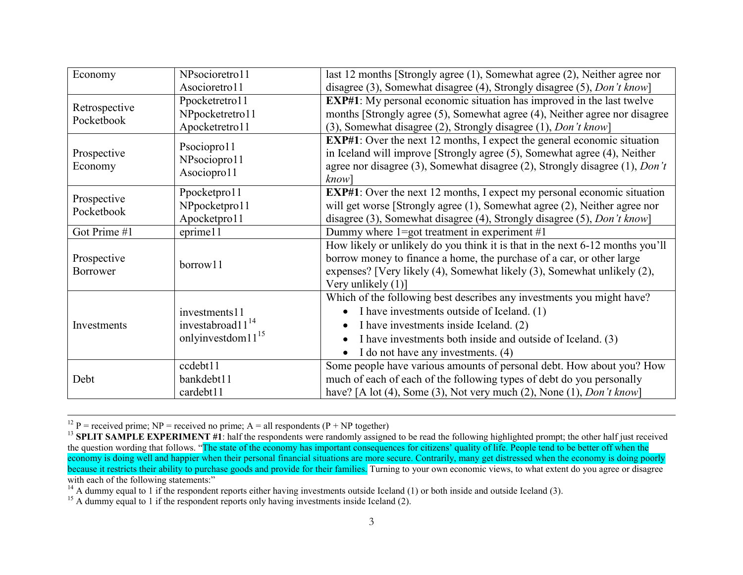| Economy                     | NPsocioretro11          | last 12 months [Strongly agree (1), Somewhat agree (2), Neither agree nor       |
|-----------------------------|-------------------------|---------------------------------------------------------------------------------|
|                             | Asocioretro11           | disagree (3), Somewhat disagree (4), Strongly disagree (5), Don't know]         |
|                             | Ppocketretro11          | <b>EXP#1</b> : My personal economic situation has improved in the last twelve   |
| Retrospective<br>Pocketbook | NPpocketretro11         | months [Strongly agree (5), Somewhat agree (4), Neither agree nor disagree      |
|                             | Apocketretro11          | (3), Somewhat disagree (2), Strongly disagree (1), Don't know]                  |
|                             | Psociopro11             | <b>EXP#1</b> : Over the next 12 months, I expect the general economic situation |
| Prospective                 | NPsociopro11            | in Iceland will improve [Strongly agree (5), Somewhat agree (4), Neither        |
| Economy                     | Asociopro11             | agree nor disagree (3), Somewhat disagree (2), Strongly disagree (1), Don't     |
|                             |                         | know                                                                            |
| Prospective                 | Ppocketpro11            | <b>EXP#1</b> : Over the next 12 months, I expect my personal economic situation |
| Pocketbook                  | NPpocketpro11           | will get worse [Strongly agree (1), Somewhat agree (2), Neither agree nor       |
|                             | Apocketpro11            | disagree (3), Somewhat disagree (4), Strongly disagree (5), Don't know          |
| Got Prime #1                | eprime11                | Dummy where $1 =$ got treatment in experiment #1                                |
|                             | borrow11                | How likely or unlikely do you think it is that in the next 6-12 months you'll   |
| Prospective                 |                         | borrow money to finance a home, the purchase of a car, or other large           |
| <b>Borrower</b>             |                         | expenses? [Very likely (4), Somewhat likely (3), Somewhat unlikely (2),         |
|                             |                         | Very unlikely $(1)$ ]                                                           |
|                             |                         | Which of the following best describes any investments you might have?           |
| Investments                 | investments11           | I have investments outside of Iceland. (1)                                      |
|                             | investabroad $11^{14}$  | I have investments inside Iceland. (2)                                          |
|                             | onlyinvestdom $11^{15}$ | I have investments both inside and outside of Iceland. (3)                      |
|                             |                         | I do not have any investments. (4)                                              |
| Debt                        | ccdebt11                | Some people have various amounts of personal debt. How about you? How           |
|                             | bankdebt11              | much of each of each of the following types of debt do you personally           |
|                             | cardebt11               | have? [A lot (4), Some (3), Not very much (2), None (1), Don't know]            |

<sup>&</sup>lt;sup>12</sup> P = received prime; NP = received no prime; A = all respondents (P + NP together)

<sup>&</sup>lt;sup>13</sup> SPLIT SAMPLE EXPERIMENT #1: half the respondents were randomly assigned to be read the following highlighted prompt; the other half just received the question wording that follows. "The state of the economy has important consequences for citizens' quality of life. People tend to be better off when the economy is doing well and happier when their personal financial situations are more secure. Contrarily, many get distressed when the economy is doing poorly because it restricts their ability to purchase goods and provide for their families. Turning to your own economic views, to what extent do you agree or disagree with each of the following statements:"

 $14$  A dummy equal to 1 if the respondent reports either having investments outside Iceland (1) or both inside and outside Iceland (3).

<sup>&</sup>lt;sup>15</sup> A dummy equal to 1 if the respondent reports only having investments inside Iceland  $(2)$ .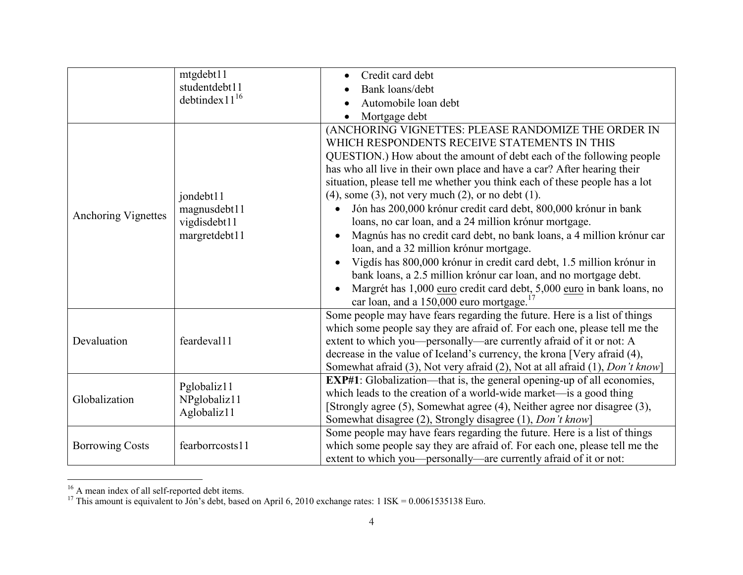|                            | mtgdebt11<br>studentdebt11<br>debtindex $11^{16}$          | Credit card debt<br>Bank loans/debt<br>Automobile loan debt                                                                                                                                                                                                                                                                                                                                                                                                                                                                                                                                                                                                                                                                                                                                                                                                                                                                        |
|----------------------------|------------------------------------------------------------|------------------------------------------------------------------------------------------------------------------------------------------------------------------------------------------------------------------------------------------------------------------------------------------------------------------------------------------------------------------------------------------------------------------------------------------------------------------------------------------------------------------------------------------------------------------------------------------------------------------------------------------------------------------------------------------------------------------------------------------------------------------------------------------------------------------------------------------------------------------------------------------------------------------------------------|
|                            |                                                            | Mortgage debt<br>$\bullet$                                                                                                                                                                                                                                                                                                                                                                                                                                                                                                                                                                                                                                                                                                                                                                                                                                                                                                         |
| <b>Anchoring Vignettes</b> | jondebt11<br>magnusdebt11<br>vigdisdebt11<br>margretdebt11 | (ANCHORING VIGNETTES: PLEASE RANDOMIZE THE ORDER IN<br>WHICH RESPONDENTS RECEIVE STATEMENTS IN THIS<br>QUESTION.) How about the amount of debt each of the following people<br>has who all live in their own place and have a car? After hearing their<br>situation, please tell me whether you think each of these people has a lot<br>$(4)$ , some $(3)$ , not very much $(2)$ , or no debt $(1)$ .<br>Jón has 200,000 krónur credit card debt, 800,000 krónur in bank<br>loans, no car loan, and a 24 million krónur mortgage.<br>Magnús has no credit card debt, no bank loans, a 4 million krónur car<br>loan, and a 32 million krónur mortgage.<br>Vigdís has 800,000 krónur in credit card debt, 1.5 million krónur in<br>bank loans, a 2.5 million krónur car loan, and no mortgage debt.<br>Margrét has 1,000 euro credit card debt, 5,000 euro in bank loans, no<br>car loan, and a 150,000 euro mortgage. <sup>17</sup> |
| Devaluation                | feardeval11                                                | Some people may have fears regarding the future. Here is a list of things<br>which some people say they are afraid of. For each one, please tell me the<br>extent to which you—personally—are currently afraid of it or not: A<br>decrease in the value of Iceland's currency, the krona [Very afraid (4),<br>Somewhat afraid (3), Not very afraid (2), Not at all afraid (1), Don't know]                                                                                                                                                                                                                                                                                                                                                                                                                                                                                                                                         |
| Globalization              | Pglobaliz11<br>NPglobaliz11<br>Aglobaliz11                 | <b>EXP#1</b> : Globalization—that is, the general opening-up of all economies,<br>which leads to the creation of a world-wide market—is a good thing<br>[Strongly agree (5), Somewhat agree (4), Neither agree nor disagree (3),<br>Somewhat disagree (2), Strongly disagree (1), Don't know]                                                                                                                                                                                                                                                                                                                                                                                                                                                                                                                                                                                                                                      |
| <b>Borrowing Costs</b>     | fearborrcosts11                                            | Some people may have fears regarding the future. Here is a list of things<br>which some people say they are afraid of. For each one, please tell me the<br>extent to which you—personally—are currently afraid of it or not:                                                                                                                                                                                                                                                                                                                                                                                                                                                                                                                                                                                                                                                                                                       |

<sup>&</sup>lt;sup>16</sup> A mean index of all self-reported debt items.<br><sup>17</sup> This amount is equivalent to Jón's debt, based on April 6, 2010 exchange rates: 1 ISK = 0.0061535138 Euro.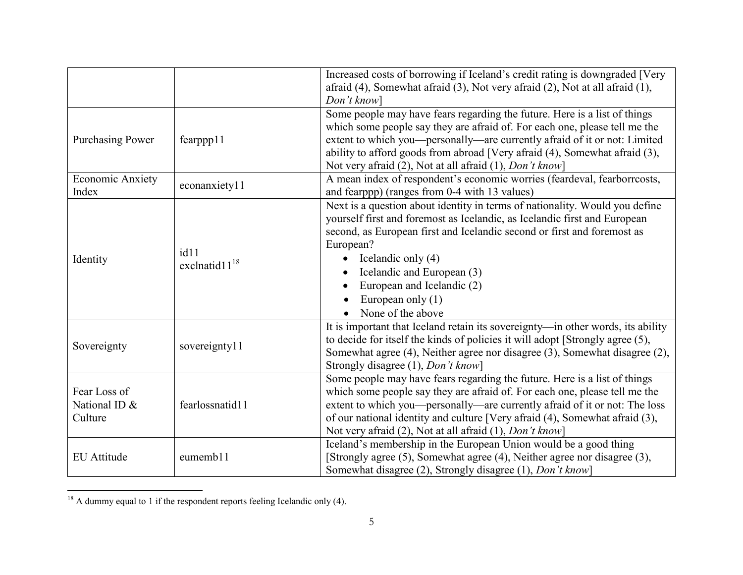|                                          |                             | Increased costs of borrowing if Iceland's credit rating is downgraded [Very<br>afraid (4), Somewhat afraid (3), Not very afraid (2), Not at all afraid (1),                                                                                                                                                                                                                                       |
|------------------------------------------|-----------------------------|---------------------------------------------------------------------------------------------------------------------------------------------------------------------------------------------------------------------------------------------------------------------------------------------------------------------------------------------------------------------------------------------------|
| <b>Purchasing Power</b>                  | fearppp11                   | Don't know<br>Some people may have fears regarding the future. Here is a list of things<br>which some people say they are afraid of. For each one, please tell me the<br>extent to which you—personally—are currently afraid of it or not: Limited<br>ability to afford goods from abroad [Very afraid (4), Somewhat afraid (3),<br>Not very afraid $(2)$ , Not at all afraid $(1)$ , Don't know] |
| Economic Anxiety<br>Index                | econanxiety11               | A mean index of respondent's economic worries (feardeval, fearborrcosts,<br>and fearppp) (ranges from 0-4 with 13 values)                                                                                                                                                                                                                                                                         |
| Identity                                 | id11<br>exclnatid $11^{18}$ | Next is a question about identity in terms of nationality. Would you define<br>yourself first and foremost as Icelandic, as Icelandic first and European<br>second, as European first and Icelandic second or first and foremost as<br>European?<br>Icelandic only $(4)$<br>Icelandic and European (3)<br>European and Icelandic (2)<br>European only $(1)$<br>None of the above                  |
| Sovereignty                              | sovereignty11               | It is important that Iceland retain its sovereignty—in other words, its ability<br>to decide for itself the kinds of policies it will adopt [Strongly agree (5),<br>Somewhat agree (4), Neither agree nor disagree (3), Somewhat disagree (2),<br>Strongly disagree (1), Don't know]                                                                                                              |
| Fear Loss of<br>National ID &<br>Culture | fearlossnatid11             | Some people may have fears regarding the future. Here is a list of things<br>which some people say they are afraid of. For each one, please tell me the<br>extent to which you—personally—are currently afraid of it or not: The loss<br>of our national identity and culture [Very afraid (4), Somewhat afraid (3),<br>Not very afraid (2), Not at all afraid (1), Don't know]                   |
| <b>EU</b> Attitude                       | eumemb11                    | Iceland's membership in the European Union would be a good thing<br>[Strongly agree (5), Somewhat agree (4), Neither agree nor disagree (3),<br>Somewhat disagree (2), Strongly disagree (1), Don't know]                                                                                                                                                                                         |

 $18$  A dummy equal to 1 if the respondent reports feeling Icelandic only (4).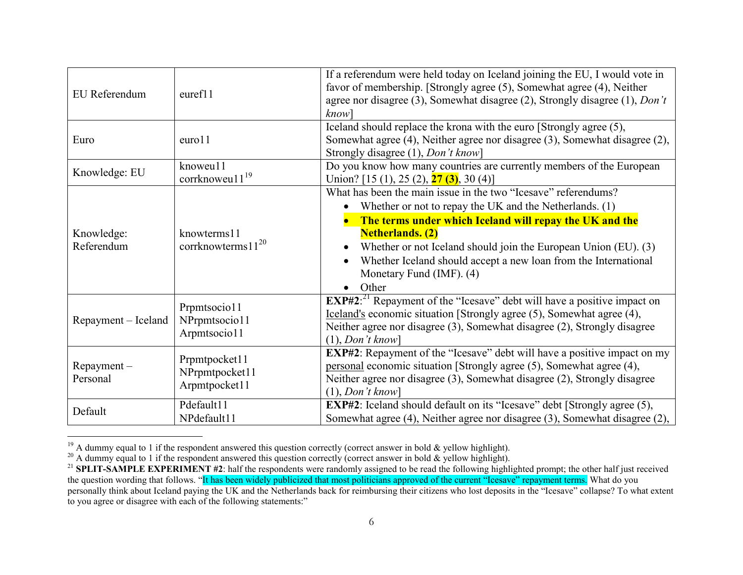| EU Referendum             | euref11                                          | If a referendum were held today on Iceland joining the EU, I would vote in<br>favor of membership. [Strongly agree (5), Somewhat agree (4), Neither<br>agree nor disagree $(3)$ , Somewhat disagree $(2)$ , Strongly disagree $(1)$ , Don't<br>$know$ ]                                                                                                                                    |
|---------------------------|--------------------------------------------------|--------------------------------------------------------------------------------------------------------------------------------------------------------------------------------------------------------------------------------------------------------------------------------------------------------------------------------------------------------------------------------------------|
| Euro                      | euro11                                           | Iceland should replace the krona with the euro [Strongly agree (5),<br>Somewhat agree (4), Neither agree nor disagree (3), Somewhat disagree (2),<br>Strongly disagree (1), <i>Don't know</i> ]                                                                                                                                                                                            |
| Knowledge: EU             | knoweu11<br>corrknoweu1 $1^{19}$                 | Do you know how many countries are currently members of the European<br>Union? [15 (1), 25 (2), $\frac{27}{(3)}$ , 30 (4)]                                                                                                                                                                                                                                                                 |
| Knowledge:<br>Referendum  | knowterms11<br>corrknowterms $11^{20}$           | What has been the main issue in the two "Icesave" referendums?<br>Whether or not to repay the UK and the Netherlands. (1)<br>The terms under which Iceland will repay the UK and the<br><b>Netherlands. (2)</b><br>Whether or not Iceland should join the European Union (EU). (3)<br>Whether Iceland should accept a new loan from the International<br>Monetary Fund (IMF). (4)<br>Other |
| Repayment – Iceland       | Prpmtsocio11<br>NPrpmtsocio11<br>Arpmtsocio11    | <b>EXP#2</b> : <sup>21</sup> Repayment of the "Icesave" debt will have a positive impact on<br>Iceland's economic situation [Strongly agree (5), Somewhat agree (4),<br>Neither agree nor disagree (3), Somewhat disagree (2), Strongly disagree<br>$(1)$ , Don't know                                                                                                                     |
| $Repayment -$<br>Personal | Prpmtpocket11<br>NPrpmtpocket11<br>Arpmtpocket11 | <b>EXP#2</b> : Repayment of the "Icesave" debt will have a positive impact on my<br>personal economic situation [Strongly agree (5), Somewhat agree (4),<br>Neither agree nor disagree (3), Somewhat disagree (2), Strongly disagree<br>$(1)$ , Don't know                                                                                                                                 |
| Default                   | Pdefault11<br>NPdefault11                        | <b>EXP#2</b> : Iceland should default on its "Icesave" debt [Strongly agree (5),<br>Somewhat agree (4), Neither agree nor disagree (3), Somewhat disagree (2),                                                                                                                                                                                                                             |

<sup>&</sup>lt;sup>19</sup> A dummy equal to 1 if the respondent answered this question correctly (correct answer in bold & yellow highlight).<br><sup>20</sup> A dummy equal to 1 if the respondent answered this question correctly (correct answer in bold &

<sup>&</sup>lt;sup>21</sup> SPLIT-SAMPLE EXPERIMENT #2: half the respondents were randomly assigned to be read the following highlighted prompt; the other half just received the question wording that follows. "It has been widely publicized that most politicians approved of the current "Icesave" repayment terms. What do you personally think about Iceland paying the UK and the Netherlands back for reimbursing their citizens who lost deposits in the "Icesave" collapse? To what extent to you agree or disagree with each of the following statements:"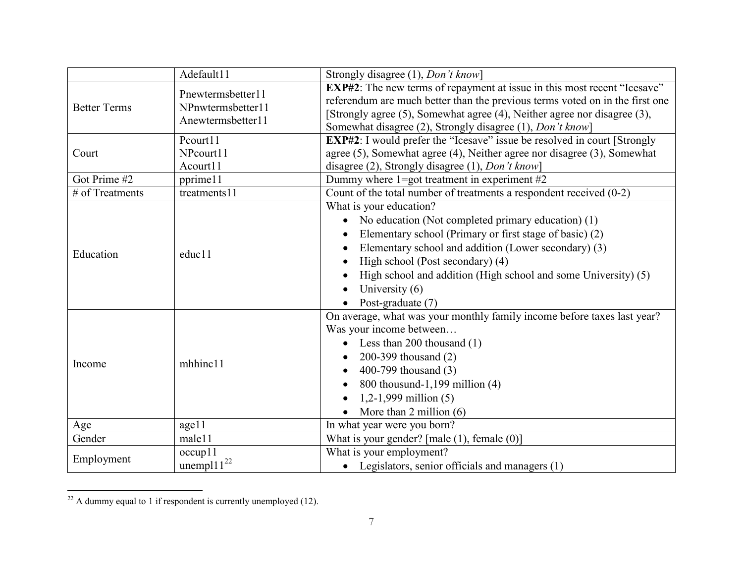|                     | Adefault11                                                  | Strongly disagree (1), <i>Don't know</i> ]                                                                                                                                                                                                                                                                                                      |
|---------------------|-------------------------------------------------------------|-------------------------------------------------------------------------------------------------------------------------------------------------------------------------------------------------------------------------------------------------------------------------------------------------------------------------------------------------|
| <b>Better Terms</b> | Pnewtermsbetter11<br>NPnwtermsbetter11<br>Anewtermsbetter11 | <b>EXP#2</b> : The new terms of repayment at issue in this most recent "Icesave"<br>referendum are much better than the previous terms voted on in the first one<br>[Strongly agree (5), Somewhat agree (4), Neither agree nor disagree (3),<br>Somewhat disagree (2), Strongly disagree (1), Don't know]                                       |
| Court               | Pcourt11<br>NPcourt11<br>Acourt11                           | <b>EXP#2</b> : I would prefer the "Icesave" issue be resolved in court [Strongly<br>agree (5), Somewhat agree (4), Neither agree nor disagree (3), Somewhat<br>disagree (2), Strongly disagree (1), Don't know]                                                                                                                                 |
| Got Prime #2        | pprime11                                                    | Dummy where $1 =$ got treatment in experiment #2                                                                                                                                                                                                                                                                                                |
| # of Treatments     | treatments11                                                | Count of the total number of treatments a respondent received $(0-2)$                                                                                                                                                                                                                                                                           |
| Education           | educ11                                                      | What is your education?<br>No education (Not completed primary education) (1)<br>Elementary school (Primary or first stage of basic) (2)<br>Elementary school and addition (Lower secondary) (3)<br>High school (Post secondary) (4)<br>High school and addition (High school and some University) (5)<br>University $(6)$<br>Post-graduate (7) |
| Income              | mhhinc11                                                    | On average, what was your monthly family income before taxes last year?<br>Was your income between<br>Less than 200 thousand $(1)$<br>200-399 thousand (2)<br>400-799 thousand (3)<br>800 thousund-1,199 million (4)<br>1,2-1,999 million $(5)$<br>More than $2$ million $(6)$                                                                  |
| Age                 | age11                                                       | In what year were you born?                                                                                                                                                                                                                                                                                                                     |
| Gender              | male11                                                      | What is your gender? $[male (1), female (0)]$                                                                                                                                                                                                                                                                                                   |
| Employment          | occup11<br>unempl $11^{22}$                                 | What is your employment?<br>• Legislators, senior officials and managers $(1)$                                                                                                                                                                                                                                                                  |

 $\overline{a^{22}}$  A dummy equal to 1 if respondent is currently unemployed (12).

<u> 1990 - John Barn Barn, amerikansk politiker (</u>

÷,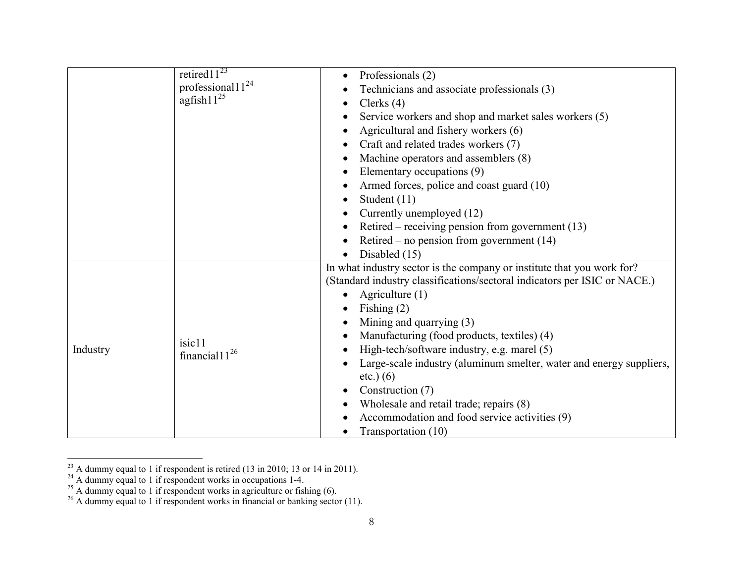|          | retired $\overline{11^{23}}$   | Professionals (2)                                                         |
|----------|--------------------------------|---------------------------------------------------------------------------|
|          | professional11 <sup>24</sup>   | Technicians and associate professionals (3)                               |
|          | $\operatorname{agfish11}^{25}$ | Clerks $(4)$                                                              |
|          |                                | Service workers and shop and market sales workers (5)                     |
|          |                                | Agricultural and fishery workers (6)                                      |
|          |                                | Craft and related trades workers (7)                                      |
|          |                                | Machine operators and assemblers (8)                                      |
|          |                                | Elementary occupations (9)                                                |
|          |                                | Armed forces, police and coast guard (10)                                 |
|          |                                | Student (11)                                                              |
|          |                                | Currently unemployed (12)                                                 |
|          |                                | Retired – receiving pension from government $(13)$                        |
|          |                                | Retired – no pension from government $(14)$                               |
|          |                                | Disabled (15)                                                             |
|          |                                | In what industry sector is the company or institute that you work for?    |
|          |                                | (Standard industry classifications/sectoral indicators per ISIC or NACE.) |
|          | isic11<br>financial $11^{26}$  | Agriculture $(1)$                                                         |
|          |                                | Fishing $(2)$                                                             |
|          |                                | Mining and quarrying $(3)$                                                |
|          |                                | Manufacturing (food products, textiles) (4)                               |
| Industry |                                | High-tech/software industry, e.g. marel (5)                               |
|          |                                | Large-scale industry (aluminum smelter, water and energy suppliers,       |
|          |                                | $etc.$ ) (6)                                                              |
|          |                                | Construction (7)                                                          |
|          |                                | Wholesale and retail trade; repairs (8)                                   |
|          |                                | Accommodation and food service activities (9)                             |
|          |                                | Transportation (10)                                                       |

<sup>&</sup>lt;sup>23</sup> A dummy equal to 1 if respondent is retired (13 in 2010; 13 or 14 in 2011).<br><sup>24</sup> A dummy equal to 1 if respondent works in occupations 1-4.<br><sup>25</sup> A dummy equal to 1 if respondent works in agriculture or fishing (6).<br><sup></sup>